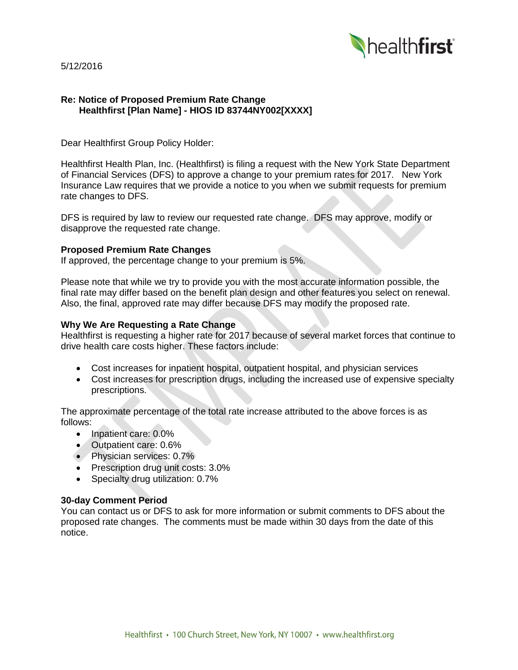

5/12/2016

# **Re: Notice of Proposed Premium Rate Change Healthfirst [Plan Name] - HIOS ID 83744NY002[XXXX]**

Dear Healthfirst Group Policy Holder:

Healthfirst Health Plan, Inc. (Healthfirst) is filing a request with the New York State Department of Financial Services (DFS) to approve a change to your premium rates for 2017. New York Insurance Law requires that we provide a notice to you when we submit requests for premium rate changes to DFS.

DFS is required by law to review our requested rate change. DFS may approve, modify or disapprove the requested rate change.

## **Proposed Premium Rate Changes**

If approved, the percentage change to your premium is 5%.

Please note that while we try to provide you with the most accurate information possible, the final rate may differ based on the benefit plan design and other features you select on renewal. Also, the final, approved rate may differ because DFS may modify the proposed rate.

## **Why We Are Requesting a Rate Change**

Healthfirst is requesting a higher rate for 2017 because of several market forces that continue to drive health care costs higher. These factors include:

- Cost increases for inpatient hospital, outpatient hospital, and physician services
- Cost increases for prescription drugs, including the increased use of expensive specialty prescriptions.

The approximate percentage of the total rate increase attributed to the above forces is as follows:

- Inpatient care: 0.0%
- Outpatient care: 0.6%
- Physician services: 0.7%
- Prescription drug unit costs: 3.0%
- Specialty drug utilization: 0.7%

#### **30-day Comment Period**

You can contact us or DFS to ask for more information or submit comments to DFS about the proposed rate changes. The comments must be made within 30 days from the date of this notice.